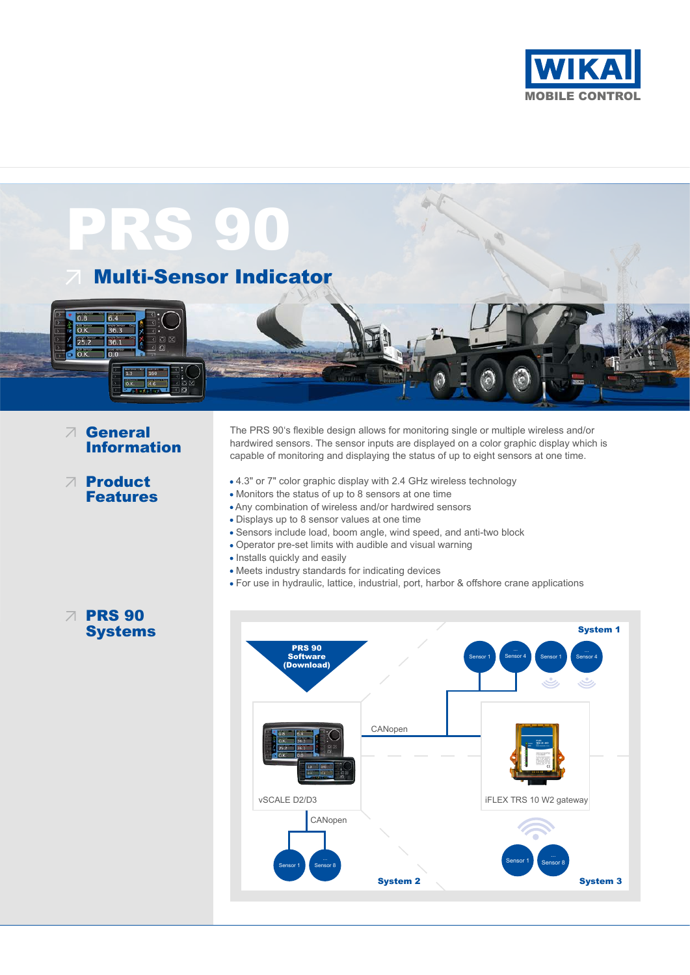



# General Information

The PRS 90's flexible design allows for monitoring single or multiple wireless and/or hardwired sensors. The sensor inputs are displayed on a color graphic display which is capable of monitoring and displaying the status of up to eight sensors at one time.

- Product Features
- 4.3" or 7" color graphic display with 2.4 GHz wireless technology
- Monitors the status of up to 8 sensors at one time
- Any combination of wireless and/or hardwired sensors
- Displays up to 8 sensor values at one time
- Sensors include load, boom angle, wind speed, and anti-two block
- Operator pre-set limits with audible and visual warning
- Installs quickly and easily
- Meets industry standards for indicating devices
- For use in hydraulic, lattice, industrial, port, harbor & offshore crane applications

# $\sqrt{ }$  PRS 90 **Systems**

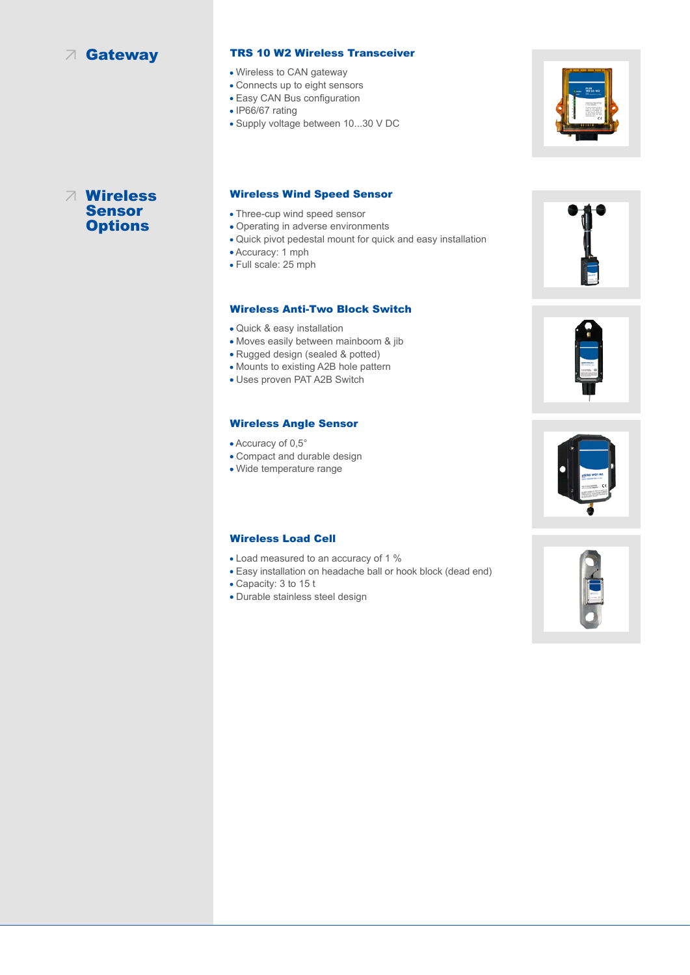# Gateway

### TRS 10 W2 Wireless Transceiver

- Wireless to CAN gateway
- Connects up to eight sensors
- Easy CAN Bus configuration
- IP66/67 rating
- Supply voltage between 10...30 V DC



## Wireless Sensor **Options**

#### Wireless Wind Speed Sensor

- Three-cup wind speed sensor
- Operating in adverse environments
- Quick pivot pedestal mount for quick and easy installation
- Accuracy: 1 mph
- Full scale: 25 mph

#### Wireless Anti-Two Block Switch

- Quick & easy installation
- Moves easily between mainboom & jib
- Rugged design (sealed & potted)
- Mounts to existing A2B hole pattern
- Uses proven PAT A2B Switch

### Wireless Angle Sensor

- Accuracy of 0,5°
- Compact and durable design
- Wide temperature range

### Wireless Load Cell

- Load measured to an accuracy of 1 %
- Easy installation on headache ball or hook block (dead end)
- Capacity: 3 to 15 t
- Durable stainless steel design







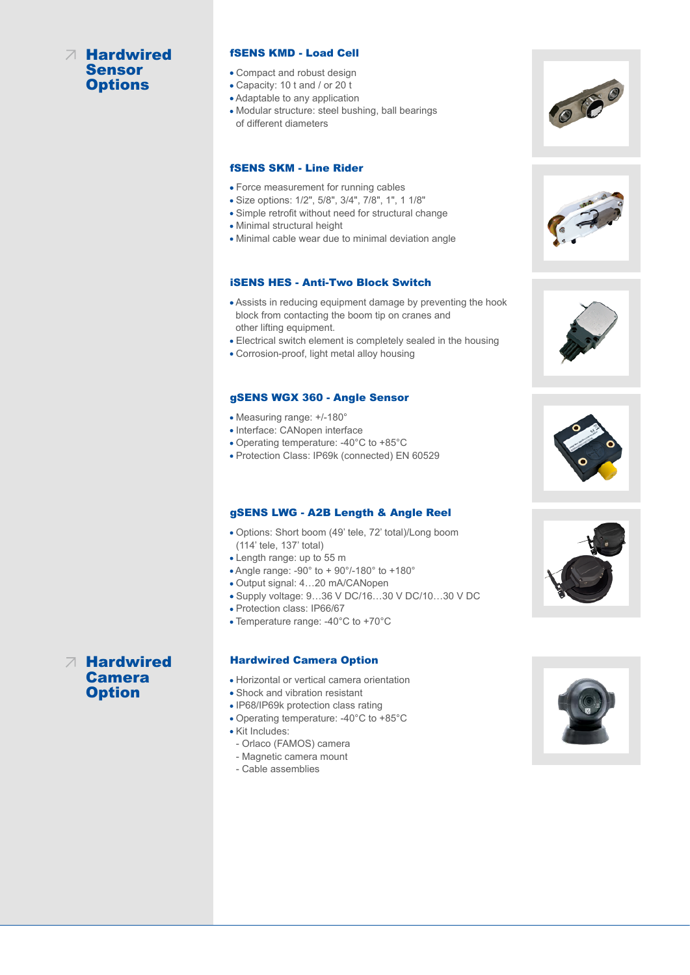# Hardwired **Sensor Options**

#### fSENS KMD - Load Cell

- Compact and robust design
- Capacity: 10 t and / or 20 t
- Adaptable to any application
- Modular structure: steel bushing, ball bearings of different diameters

## fSENS SKM - Line Rider

- Force measurement for running cables
- Size options: 1/2", 5/8", 3/4", 7/8", 1", 1 1/8"
- Simple retrofit without need for structural change
- Minimal structural height
- Minimal cable wear due to minimal deviation angle

### iSENS HES - Anti-Two Block Switch

- Assists in reducing equipment damage by preventing the hook block from contacting the boom tip on cranes and other lifting equipment.
- Electrical switch element is completely sealed in the housing
- Corrosion-proof, light metal alloy housing

#### gSENS WGX 360 - Angle Sensor

- Measuring range: +/-180°
- Interface: CANopen interface
- Operating temperature: -40°C to +85°C
- Protection Class: IP69k (connected) EN 60529

#### gSENS LWG - A2B Length & Angle Reel

- Options: Short boom (49' tele, 72' total)/Long boom (114' tele, 137' total)
- Length range: up to 55 m
- Angle range: -90° to + 90°/-180° to +180°
- Output signal: 4…20 mA/CANopen
- Supply voltage: 9…36 V DC/16…30 V DC/10…30 V DC
- Protection class: IP66/67
- Temperature range: -40°C to +70°C

#### Hardwired Camera Option

- Horizontal or vertical camera orientation
- Shock and vibration resistant
- IP68/IP69k protection class rating
- Operating temperature: -40°C to +85°C
- Kit Includes:
- Orlaco (FAMOS) camera
- Magnetic camera mount
- Cable assemblies